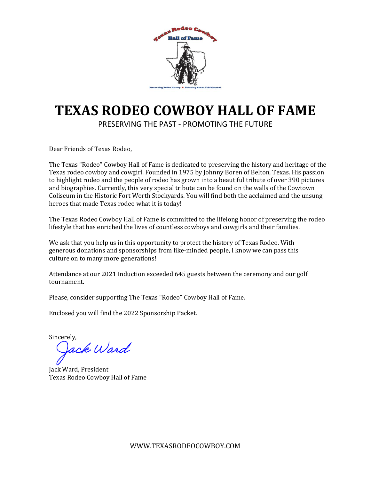

# **TEXAS RODEO COWBOY HALL OF FAME**

PRESERVING THE PAST - PROMOTING THE FUTURE

Dear Friends of Texas Rodeo,

The Texas "Rodeo" Cowboy Hall of Fame is dedicated to preserving the history and heritage of the Texas rodeo cowboy and cowgirl. Founded in 1975 by Johnny Boren of Belton, Texas. His passion to highlight rodeo and the people of rodeo has grown into a beautiful tribute of over 390 pictures and biographies. Currently, this very special tribute can be found on the walls of the Cowtown Coliseum in the Historic Fort Worth Stockyards. You will find both the acclaimed and the unsung heroes that made Texas rodeo what it is today!

The Texas Rodeo Cowboy Hall of Fame is committed to the lifelong honor of preserving the rodeo lifestyle that has enriched the lives of countless cowboys and cowgirls and their families.

We ask that you help us in this opportunity to protect the history of Texas Rodeo. With generous donations and sponsorships from like-minded people, I know we can pass this culture on to many more generations!

Attendance at our 2021 Induction exceeded 645 guests between the ceremony and our golf tournament.

Please, consider supporting The Texas "Rodeo" Cowboy Hall of Fame.

Enclosed you will find the 2022 Sponsorship Packet.

Sincerely,

ack Ward

Jack Ward, President Texas Rodeo Cowboy Hall of Fame

WWW.TEXASRODEOCOWBOY.COM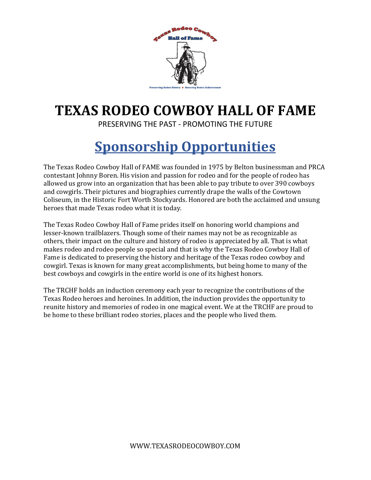

# **TEXAS RODEO COWBOY HALL OF FAME**

PRESERVING THE PAST - PROMOTING THE FUTURE

# **Sponsorship Opportunities**

The Texas Rodeo Cowboy Hall of FAME was founded in 1975 by Belton businessman and PRCA contestant Johnny Boren. His vision and passion for rodeo and for the people of rodeo has allowed us grow into an organization that has been able to pay tribute to over 390 cowboys and cowgirls. Their pictures and biographies currently drape the walls of the Cowtown Coliseum, in the Historic Fort Worth Stockyards. Honored are both the acclaimed and unsung heroes that made Texas rodeo what it is today.

The Texas Rodeo Cowboy Hall of Fame prides itself on honoring world champions and lesser-known trailblazers. Though some of their names may not be as recognizable as others, their impact on the culture and history of rodeo is appreciated by all. That is what makes rodeo and rodeo people so special and that is why the Texas Rodeo Cowboy Hall of Fame is dedicated to preserving the history and heritage of the Texas rodeo cowboy and cowgirl. Texas is known for many great accomplishments, but being home to many of the best cowboys and cowgirls in the entire world is one of its highest honors.

The TRCHF holds an induction ceremony each year to recognize the contributions of the Texas Rodeo heroes and heroines. In addition, the induction provides the opportunity to reunite history and memories of rodeo in one magical event. We at the TRCHF are proud to be home to these brilliant rodeo stories, places and the people who lived them.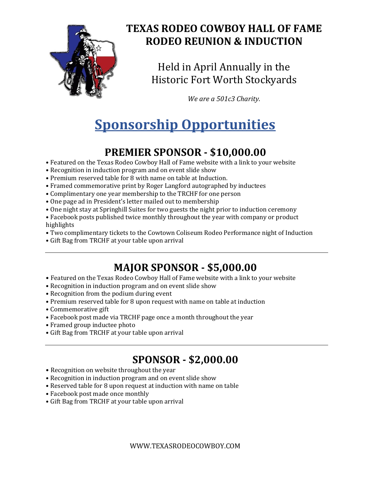

#### **TEXAS RODEO COWBOY HALL OF FAME RODEO REUNION & INDUCTION**

Held in April Annually in the Historic Fort Worth Stockyards

*We are a 501c3 Charity.*

# **Sponsorship Opportunities**

## **PREMIER SPONSOR - \$10,000.00**

- Featured on the Texas Rodeo Cowboy Hall of Fame website with a link to your website
- Recognition in induction program and on event slide show
- Premium reserved table for 8 with name on table at Induction.
- Framed commemorative print by Roger Langford autographed by inductees
- Complimentary one year membership to the TRCHF for one person
- One page ad in President's letter mailed out to membership
- One night stay at Springhill Suites for two guests the night prior to induction ceremony
- Facebook posts published twice monthly throughout the year with company or product highlights
- Two complimentary tickets to the Cowtown Coliseum Rodeo Performance night of Induction
- Gift Bag from TRCHF at your table upon arrival

#### **MAJOR SPONSOR - \$5,000.00**

- Featured on the Texas Rodeo Cowboy Hall of Fame website with a link to your website
- Recognition in induction program and on event slide show
- Recognition from the podium during event
- Premium reserved table for 8 upon request with name on table at induction
- Commemorative gift
- Facebook post made via TRCHF page once a month throughout the year
- Framed group inductee photo
- Gift Bag from TRCHF at your table upon arrival

#### **SPONSOR - \$2,000.00**

- Recognition on website throughout the year
- Recognition in induction program and on event slide show
- Reserved table for 8 upon request at induction with name on table
- Facebook post made once monthly
- Gift Bag from TRCHF at your table upon arrival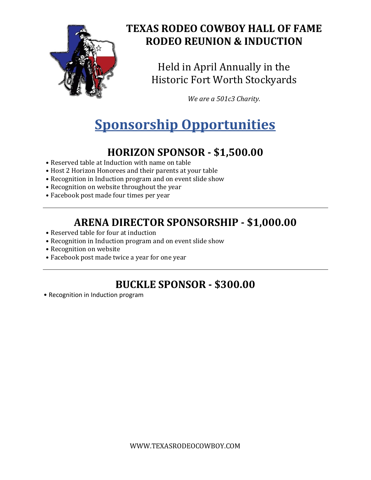

#### **TEXAS RODEO COWBOY HALL OF FAME RODEO REUNION & INDUCTION**

Held in April Annually in the Historic Fort Worth Stockyards

*We are a 501c3 Charity.*

# **Sponsorship Opportunities**

### **HORIZON SPONSOR - \$1,500.00**

- Reserved table at Induction with name on table
- Host 2 Horizon Honorees and their parents at your table
- Recognition in Induction program and on event slide show
- Recognition on website throughout the year
- Facebook post made four times per year

### **ARENA DIRECTOR SPONSORSHIP - \$1,000.00**

- Reserved table for four at induction
- Recognition in Induction program and on event slide show
- Recognition on website
- Facebook post made twice a year for one year

### **BUCKLE SPONSOR - \$300.00**

• Recognition in Induction program